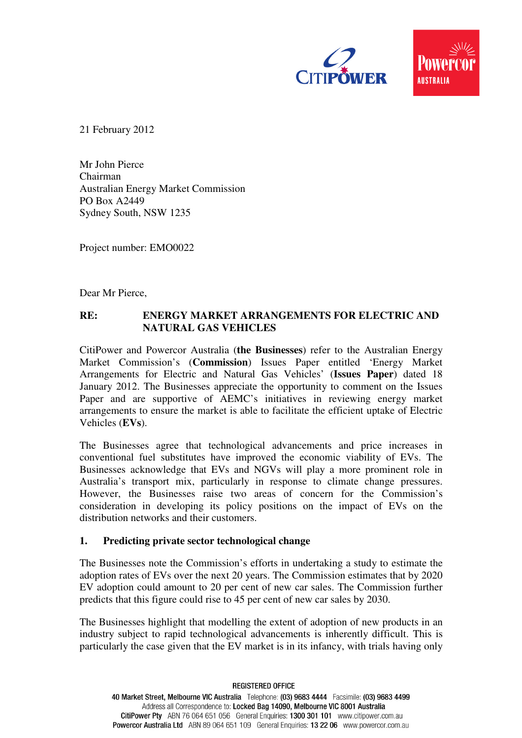

21 February 2012

Mr John Pierce Chairman Australian Energy Market Commission PO Box A2449 Sydney South, NSW 1235

Project number: EMO0022

Dear Mr Pierce,

## **RE: ENERGY MARKET ARRANGEMENTS FOR ELECTRIC AND NATURAL GAS VEHICLES**

CitiPower and Powercor Australia (**the Businesses**) refer to the Australian Energy Market Commission's (**Commission**) Issues Paper entitled 'Energy Market Arrangements for Electric and Natural Gas Vehicles' (**Issues Paper**) dated 18 January 2012. The Businesses appreciate the opportunity to comment on the Issues Paper and are supportive of AEMC's initiatives in reviewing energy market arrangements to ensure the market is able to facilitate the efficient uptake of Electric Vehicles (**EVs**).

The Businesses agree that technological advancements and price increases in conventional fuel substitutes have improved the economic viability of EVs. The Businesses acknowledge that EVs and NGVs will play a more prominent role in Australia's transport mix, particularly in response to climate change pressures. However, the Businesses raise two areas of concern for the Commission's consideration in developing its policy positions on the impact of EVs on the distribution networks and their customers.

## **1. Predicting private sector technological change**

The Businesses note the Commission's efforts in undertaking a study to estimate the adoption rates of EVs over the next 20 years. The Commission estimates that by 2020 EV adoption could amount to 20 per cent of new car sales. The Commission further predicts that this figure could rise to 45 per cent of new car sales by 2030.

The Businesses highlight that modelling the extent of adoption of new products in an industry subject to rapid technological advancements is inherently difficult. This is particularly the case given that the EV market is in its infancy, with trials having only